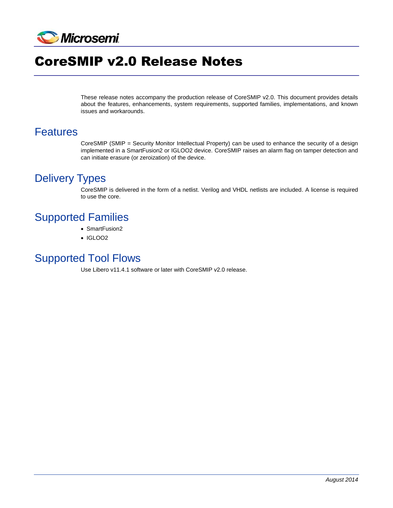

# CoreSMIP v2.0 Release Notes

These release notes accompany the production release of CoreSMIP v2.0. This document provides details about the features, enhancements, system requirements, supported families, implementations, and known issues and workarounds.

#### Features

CoreSMIP (SMIP = Security Monitor Intellectual Property) can be used to enhance the security of a design implemented in a SmartFusion2 or IGLOO2 device. CoreSMIP raises an alarm flag on tamper detection and can initiate erasure (or zeroization) of the device.

## Delivery Types

CoreSMIP is delivered in the form of a netlist. Verilog and VHDL netlists are included. A license is required to use the core.

# Supported Families

- SmartFusion2
- $\cdot$  IGLOO2

#### Supported Tool Flows

Use Libero v11.4.1 software or later with CoreSMIP v2.0 release.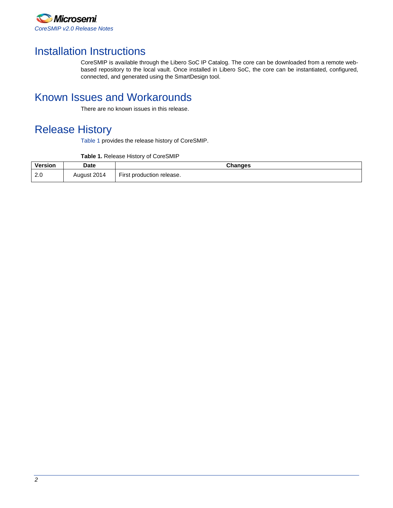

# Installation Instructions

CoreSMIP is available through the Libero SoC IP Catalog. The core can be downloaded from a remote webbased repository to the local vault. Once installed in Libero SoC, the core can be instantiated, configured, connected, and generated using the SmartDesign tool.

# Known Issues and Workarounds

There are no known issues in this release.

# Release History

[Table 1](#page-1-0) provides the release history of CoreSMIP.

| Table 1. Release History of CoreSMIP |  |
|--------------------------------------|--|
|--------------------------------------|--|

<span id="page-1-0"></span>

| Version         | <b>Date</b> | <b>Changes</b>                  |
|-----------------|-------------|---------------------------------|
| $\Omega$<br>Z.U | August 2014 | --<br>First production release. |